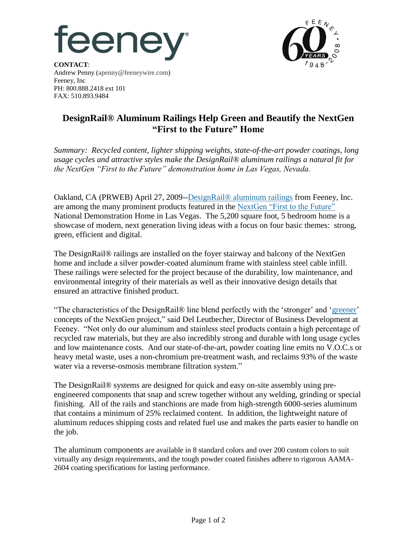



**CONTACT**: Andrew Penny (apenny@feeneywire.com) Feeney, Inc PH: 800.888.2418 ext 101 FAX: 510.893.9484

## **DesignRail® Aluminum Railings Help Green and Beautify the NextGen "First to the Future" Home**

*Summary: Recycled content, lighter shipping weights, state-of-the-art powder coatings, long usage cycles and attractive styles make the DesignRail® aluminum railings a natural fit for the NextGen "First to the Future" demonstration home in Las Vegas, Nevada.*

Oakland, CA (PRWEB) April 27, 2009-[-DesignRail® aluminum railings](http://www.designrail.com/overview.shtml) from Feeney, Inc. are among the many prominent products featured in the [NextGen "First to the Future"](http://www.nextgenhome.com/NextGenHome/LasVegas/index.aspx) National Demonstration Home in Las Vegas. The 5,200 square foot, 5 bedroom home is a showcase of modern, next generation living ideas with a focus on four basic themes: strong, green, efficient and digital.

The DesignRail® railings are installed on the foyer stairway and balcony of the NextGen home and include a silver powder-coated aluminum frame with stainless steel cable infill. These railings were selected for the project because of the durability, low maintenance, and environmental integrity of their materials as well as their innovative design details that ensured an attractive finished product.

"The characteristics of the DesignRail® line blend perfectly with the 'stronger' and 'greener' concepts of the NextGen project," said Del Leutbecher, Director of Business Development at Feeney. "Not only do our aluminum and stainless steel products contain a high percentage of recycled raw materials, but they are also incredibly strong and durable with long usage cycles and low maintenance costs. And our state-of-the-art, powder coating line emits no V.O.C.s or heavy metal waste, uses a non-chromium pre-treatment wash, and reclaims 93% of the waste water via a reverse-osmosis membrane filtration system."

The DesignRail® systems are designed for quick and easy on-site assembly using preengineered components that snap and screw together without any welding, grinding or special finishing. All of the rails and stanchions are made from high-strength 6000-series aluminum that contains a minimum of 25% reclaimed content. In addition, the lightweight nature of aluminum reduces shipping costs and related fuel use and makes the parts easier to handle on the job.

The aluminum components are available in 8 standard colors and over 200 custom colors to suit virtually any design requirements, and the tough powder coated finishes adhere to rigorous AAMA-2604 coating specifications for lasting performance.